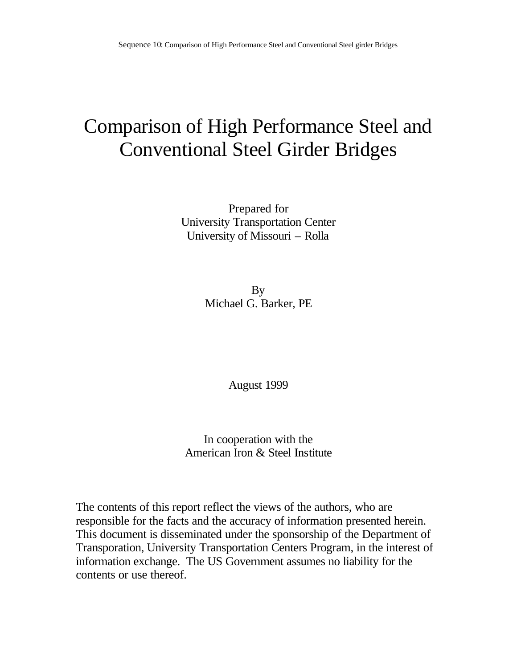## Comparison of High Performance Steel and Conventional Steel Girder Bridges

Prepared for University Transportation Center University of Missouri – Rolla

> By Michael G. Barker, PE

> > August 1999

In cooperation with the American Iron & Steel Institute

The contents of this report reflect the views of the authors, who are responsible for the facts and the accuracy of information presented herein. This document is disseminated under the sponsorship of the Department of Transporation, University Transportation Centers Program, in the interest of information exchange. The US Government assumes no liability for the contents or use thereof.